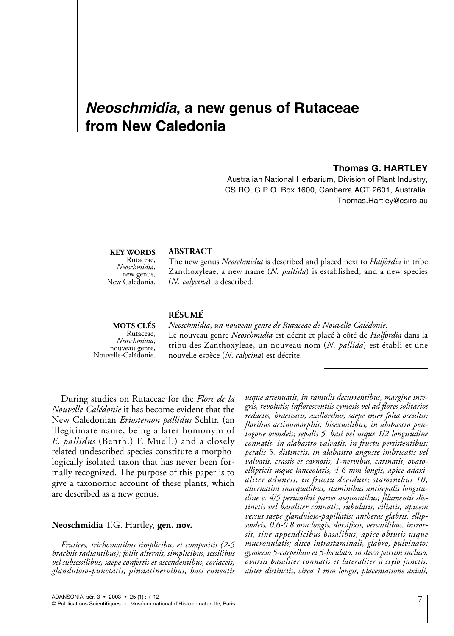# *Neoschmidia***, a new genus of Rutaceae from New Caledonia**

#### **Thomas G. HARTLEY**

Australian National Herbarium, Division of Plant Industry, CSIRO, G.P.O. Box 1600, Canberra ACT 2601, Australia. Thomas.Hartley@csiro.au

# **KEY WORDS** Rutaceae,<br>*Neoschmidia*. *Neoschmidia*, new genus, New Caledonia.

#### **ABSTRACT**

The new genus *Neoschmidia* is described and placed next to *Halfordia* in tribe Zanthoxyleae, a new name (*N. pallida*) is established, and a new species (*N. calycina*) is described.

# **RÉSUMÉ**

**MOTS CLÉS**  Rutaceae,<br>Neoschmidia, *Neoschmidia*, nouveau genre, Nouvelle-Calédonie.

*Neoschmidia*, *un nouveau genre de Rutaceae de Nouvelle-Calédonie*. Le nouveau genre *Neoschmidia* est décrit et placé à côté de *Halfordia* dans la tribu des Zanthoxyleae, un nouveau nom (*N. pallida*) est établi et une nouvelle espèce (*N*. *calycina*) est décrite.

During studies on Rutaceae for the *Flore de la Nouvelle-Calédonie* it has become evident that the New Caledonian *Eriostemon pallidus* Schltr. (an illegitimate name, being a later homonym of *E*. *pallidus* (Benth.) F. Muell.) and a closely related undescribed species constitute a morphologically isolated taxon that has never been formally recognized. The purpose of this paper is to give a taxonomic account of these plants, which are described as a new genus.

#### **Neoschmidia** T.G. Hartley, **gen. nov.**

*Frutices, trichomatibus simplicibus et compositis (2-5 brachiis radiantibus); foliis alternis, simplicibus, sessilibus vel subsessilibus, saepe confertis et ascendentibus, coriaceis, glanduloso-punctatis, pinnatinervibus, basi cuneatis*

*usque attenuatis, in ramulis decurrentibus, margine integris, revolutis; inflorescentiis cymosis vel ad flores solitarios redactis, bracteatis, axillaribus, saepe inter folia occultis; floribus actinomorphis, bisexualibus, in alabastro pentagone ovoideis; sepalis 5, basi vel usque 1/2 longitudine connatis, in alabastro valvatis, in fructu persistentibus; petalis 5, distinctis, in alabastro anguste imbricatis vel valvatis, crassis et carnosis, 1-nervibus, carinatis, ovatoellipticis usque lanceolatis, 4-6 mm longis, apice adaxialiter aduncis, in fructu deciduis; staminibus 10, alternatim inaequalibus, staminibus antisepalis longitudine c. 4/5 perianthii partes aequantibus; filamentis distinctis vel basaliter connatis, subulatis, ciliatis, apicem versus saepe glanduloso-papillatis; antheras glabris, ellipsoideis, 0.6-0.8 mm longis, dorsifixis, versatilibus, introrsis, sine appendicibus basalibus, apice obtusis usque mucronulatis; disco intrastaminali, glabro, pulvinato; gynoecio 5-carpellato et 5-loculato, in disco partim incluso, ovariis basaliter connatis et lateraliter a stylo junctis, aliter distinctis, circa 1 mm longis, placentatione axiali,*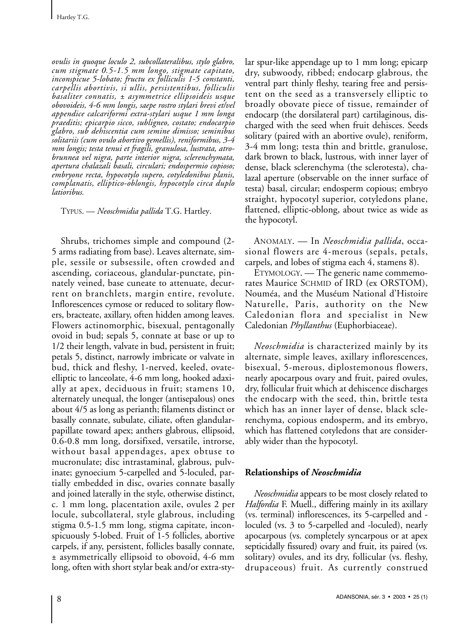*ovulis in quoque loculo 2, subcollateralibus, stylo glabro, cum stigmate 0.5-1.5 mm longo, stigmate capitato, inconspicue 5-lobato; fructu ex folliculis 1-5 constanti, carpellis abortivis, si ullis, persistentibus, folliculis basaliter connatis, ± asymmetrice ellipsoideis usque obovoideis, 4-6 mm longis, saepe rostro stylari brevi et/vel appendice calcariformi extra-stylari usque 1 mm longa praeditis; epicarpio sicco, subligneo, costato; endocarpio glabro, sub dehiscentia cum semine dimisso; seminibus solitariis (cum ovulo abortivo gemellis), reniformibus, 3-4 mm longis; testa tenui et fragili, granulosa, lustrata, atrobrunnea vel nigra, parte interior nigra, sclerenchymata, apertura chalazali basali, circulari; endospermio copioso; embryone recta, hypocotylo supero, cotyledonibus planis, complanatis, elliptico-oblongis, hypocotylo circa duplo latioribus.*

TYPUS. — *Neoschmidia pallida* T.G. Hartley.

Shrubs, trichomes simple and compound (2- 5 arms radiating from base). Leaves alternate, simple, sessile or subsessile, often crowded and ascending, coriaceous, glandular-punctate, pinnately veined, base cuneate to attenuate, decurrent on branchlets, margin entire, revolute. Inflorescences cymose or reduced to solitary flowers, bracteate, axillary, often hidden among leaves. Flowers actinomorphic, bisexual, pentagonally ovoid in bud; sepals 5, connate at base or up to 1/2 their length, valvate in bud, persistent in fruit; petals 5, distinct, narrowly imbricate or valvate in bud, thick and fleshy, 1-nerved, keeled, ovateelliptic to lanceolate, 4-6 mm long, hooked adaxially at apex, deciduous in fruit; stamens 10, alternately unequal, the longer (antisepalous) ones about 4/5 as long as perianth; filaments distinct or basally connate, subulate, ciliate, often glandularpapillate toward apex; anthers glabrous, ellipsoid, 0.6-0.8 mm long, dorsifixed, versatile, introrse, without basal appendages, apex obtuse to mucronulate; disc intrastaminal, glabrous, pulvinate; gynoecium 5-carpelled and 5-loculed, partially embedded in disc, ovaries connate basally and joined laterally in the style, otherwise distinct, c. 1 mm long, placentation axile, ovules 2 per locule, subcollateral, style glabrous, including stigma 0.5-1.5 mm long, stigma capitate, inconspicuously 5-lobed. Fruit of 1-5 follicles, abortive carpels, if any, persistent, follicles basally connate, ± asymmetrically ellipsoid to obovoid, 4-6 mm long, often with short stylar beak and/or extra-stylar spur-like appendage up to 1 mm long; epicarp dry, subwoody, ribbed; endocarp glabrous, the ventral part thinly fleshy, tearing free and persistent on the seed as a transversely elliptic to broadly obovate piece of tissue, remainder of endocarp (the dorsilateral part) cartilaginous, discharged with the seed when fruit dehisces. Seeds solitary (paired with an abortive ovule), reniform, 3-4 mm long; testa thin and brittle, granulose, dark brown to black, lustrous, with inner layer of dense, black sclerenchyma (the sclerotesta), chalazal aperture (observable on the inner surface of testa) basal, circular; endosperm copious; embryo straight, hypocotyl superior, cotyledons plane, flattened, elliptic-oblong, about twice as wide as the hypocotyl.

ANOMALY. — In *Neoschmidia pallida*, occasional flowers are 4-merous (sepals, petals, carpels, and lobes of stigma each 4, stamens 8).

ETYMOLOGY. — The generic name commemorates Maurice SCHMID of IRD (ex ORSTOM), Nouméa, and the Muséum National d'Histoire Naturelle, Paris, authority on the New Caledonian flora and specialist in New Caledonian *Phyllanthus* (Euphorbiaceae).

*Neoschmidia* is characterized mainly by its alternate, simple leaves, axillary inflorescences, bisexual, 5-merous, diplostemonous flowers, nearly apocarpous ovary and fruit, paired ovules, dry, follicular fruit which at dehiscence discharges the endocarp with the seed, thin, brittle testa which has an inner layer of dense, black sclerenchyma, copious endosperm, and its embryo, which has flattened cotyledons that are considerably wider than the hypocotyl.

# **Relationships of** *Neoschmidia*

*Neoschmidia* appears to be most closely related to *Halfordia* F. Muell., differing mainly in its axillary (vs. terminal) inflorescences, its 5-carpelled and loculed (vs. 3 to 5-carpelled and -loculed), nearly apocarpous (vs. completely syncarpous or at apex septicidally fissured) ovary and fruit, its paired (vs. solitary) ovules, and its dry, follicular (vs. fleshy, drupaceous) fruit. As currently construed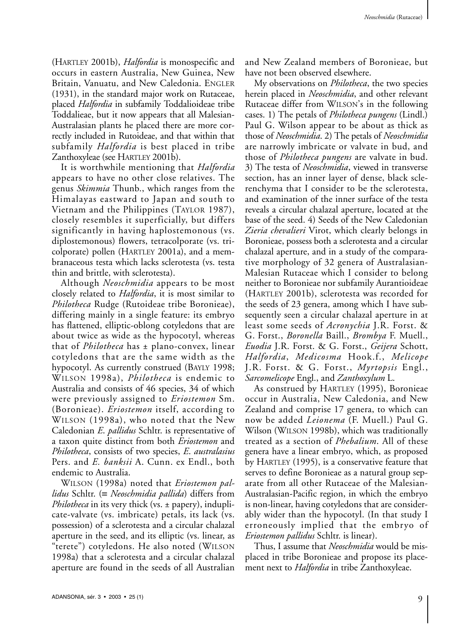(HARTLEY 2001b), *Halfordia* is monospecific and occurs in eastern Australia, New Guinea, New Britain, Vanuatu, and New Caledonia. ENGLER (1931), in the standard major work on Rutaceae, placed *Halfordia* in subfamily Toddalioideae tribe Toddalieae, but it now appears that all Malesian-Australasian plants he placed there are more correctly included in Rutoideae, and that within that subfamily *Halfordia* is best placed in tribe Zanthoxyleae (see HARTLEY 2001b).

It is worthwhile mentioning that *Halfordia* appears to have no other close relatives. The genus *Skimmia* Thunb., which ranges from the Himalayas eastward to Japan and south to Vietnam and the Philippines (TAYLOR 1987), closely resembles it superficially, but differs significantly in having haplostemonous (vs. diplostemonous) flowers, tetracolporate (vs. tricolporate) pollen (HARTLEY 2001a), and a membranaceous testa which lacks sclerotesta (vs. testa thin and brittle, with sclerotesta).

Although *Neoschmidia* appears to be most closely related to *Halfordia*, it is most similar to *Philotheca* Rudge (Rutoideae tribe Boronieae), differing mainly in a single feature: its embryo has flattened, elliptic-oblong cotyledons that are about twice as wide as the hypocotyl, whereas that of *Philotheca* has ± plano-convex, linear cotyledons that are the same width as the hypocotyl. As currently construed (BAYLY 1998; WILSON 1998a), *Philotheca* is endemic to Australia and consists of 46 species, 34 of which were previously assigned to *Eriostemon* Sm. (Boronieae). *Eriostemon* itself, according to WILSON (1998a), who noted that the New Caledonian *E*. *pallidus* Schltr. is representative of a taxon quite distinct from both *Eriostemon* and *Philotheca*, consists of two species, *E*. *australasius* Pers. and *E. banksii* A. Cunn. ex Endl., both endemic to Australia.

WILSON (1998a) noted that *Eriostemon pallidus* Schltr. (≡ *Neoschmidia pallida*) differs from *Philotheca* in its very thick (vs. ± papery), induplicate-valvate (vs. imbricate) petals, its lack (vs. possession) of a sclerotesta and a circular chalazal aperture in the seed, and its elliptic (vs. linear, as "terete") cotyledons. He also noted (WILSON 1998a) that a sclerotesta and a circular chalazal aperture are found in the seeds of all Australian

and New Zealand members of Boronieae, but have not been observed elsewhere.

My observations on *Philotheca*, the two species herein placed in *Neoschmidia*, and other relevant Rutaceae differ from WILSON's in the following cases. 1) The petals of *Philotheca pungens* (Lindl.) Paul G. Wilson appear to be about as thick as those of *Neoschmidia*. 2) The petals of *Neoschmidia* are narrowly imbricate or valvate in bud, and those of *Philotheca pungens* are valvate in bud. 3)The testa of *Neoschmidia*, viewed in transverse section, has an inner layer of dense, black sclerenchyma that I consider to be the sclerotesta, and examination of the inner surface of the testa reveals a circular chalazal aperture, located at the base of the seed. 4) Seeds of the New Caledonian *Zieria chevalieri* Virot, which clearly belongs in Boronieae, possess both a sclerotesta and a circular chalazal aperture, and in a study of the comparative morphology of 32 genera of Australasian-Malesian Rutaceae which I consider to belong neither to Boronieae nor subfamily Aurantioideae (HARTLEY 2001b), sclerotesta was recorded for the seeds of 23 genera, among which I have subsequently seen a circular chalazal aperture in at least some seeds of *Acronychia* J.R. Forst. & G. Forst., *Boronella* Baill., *Brombya* F. Muell., *Euodia* J.R. Forst. & G. Forst., *Geijera* Schott, *Halfordia*, *Medicosma* Hook.f., *Melicope* J.R. Forst. & G. Forst., *Myrtopsis* Engl., *Sarcomelicope* Engl., and *Zanthoxylum* L.

As construed by HARTLEY (1995), Boronieae occur in Australia, New Caledonia, and New Zealand and comprise 17 genera, to which can now be added *Leionema* (F. Muell.) Paul G. Wilson (WILSON 1998b), which was traditionally treated as a section of *Phebalium*. All of these genera have a linear embryo, which, as proposed by HARTLEY (1995), is a conservative feature that serves to define Boronieae as a natural group separate from all other Rutaceae of the Malesian-Australasian-Pacific region, in which the embryo is non-linear, having cotyledons that are considerably wider than the hypocotyl. (In that study I erroneously implied that the embryo of *Eriostemon pallidus* Schltr. is linear).

Thus, I assume that *Neoschmidia* would be misplaced in tribe Boronieae and propose its placement next to *Halfordia* in tribe Zanthoxyleae.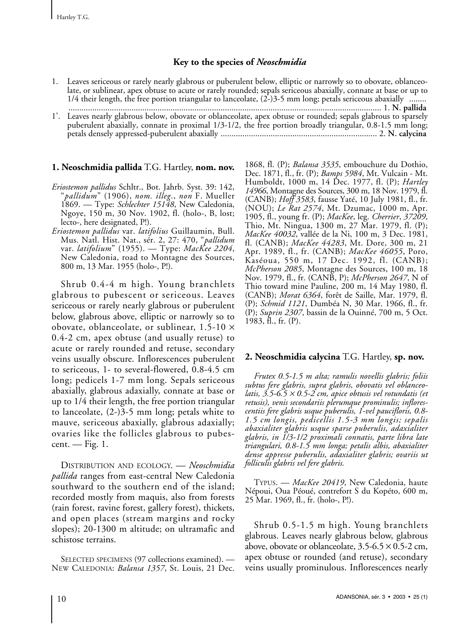# **Key to the species of** *Neoschmidia*

| 1. Leaves sericeous or rarely nearly glabrous or puberulent below, elliptic or narrowly so to obovate, oblanceo- |
|------------------------------------------------------------------------------------------------------------------|
| late, or sublinear, apex obtuse to acute or rarely rounded; sepals sericeous abaxially, connate at base or up to |
| $1/4$ their length, the free portion triangular to lanceolate, $(2-)3-5$ mm long; petals sericeous abaxially     |
|                                                                                                                  |
| 1'. Leaves nearly glabrous below, obovate or oblanceolate, apex obtuse or rounded; sepals glabrous to sparsely   |
| puberulent abaxially, connate in proximal 1/3-1/2, the free portion broadly triangular, 0.8-1.5 mm long;         |
|                                                                                                                  |

### **1. Neoschmidia pallida** T.G. Hartley, **nom. nov.**

- *Eriostemon pallidus* Schltr., Bot. Jahrb. Syst. 39: 142, "*pallidum*" (1906), *nom. illeg*., *non* F. Mueller 1869. — Type: *Schlechter 15148*, New Caledonia, Ngoye, 150 m, 30 Nov. 1902, fl. (holo-, B, lost; lecto-, here designated, P!).
- *Eriostemon pallidus* var. *latifolius* Guillaumin, Bull. Mus. Natl. Hist. Nat., sér. 2, 27: 470, "*pallidum* var. *latifolium*" (1955). — Type: *MacKee 2204*, New Caledonia, road to Montagne des Sources, 800 m, 13 Mar. 1955 (holo-, P!).

Shrub 0.4-4 m high. Young branchlets glabrous to pubescent or sericeous. Leaves sericeous or rarely nearly glabrous or puberulent below, glabrous above, elliptic or narrowly so to obovate, oblanceolate, or sublinear, 1.5-10 × 0.4-2 cm, apex obtuse (and usually retuse) to acute or rarely rounded and retuse, secondary veins usually obscure. Inflorescences puberulent to sericeous, 1- to several-flowered, 0.8-4.5 cm long; pedicels 1-7 mm long. Sepals sericeous abaxially, glabrous adaxially, connate at base or up to 1/4 their length, the free portion triangular to lanceolate, (2-)3-5 mm long; petals white to mauve, sericeous abaxially, glabrous adaxially; ovaries like the follicles glabrous to pubescent. — Fig. 1.

DISTRIBUTION AND ECOLOGY. — *Neoschmidia pallida* ranges from east-central New Caledonia southward to the southern end of the island; recorded mostly from maquis, also from forests (rain forest, ravine forest, gallery forest), thickets, and open places (stream margins and rocky slopes); 20-1300 m altitude; on ultramafic and schistose terrains.

SELECTED SPECIMENS (97 collections examined). — NEW CALEDONIA: *Balansa 1357*, St. Louis, 21 Dec. 1868, fl. (P); *Balansa 3535*, embouchure du Dothio, Dec. 1871, fl., fr. (P); *Bamps 5984*, Mt. Vulcain - Mt. Humboldt, 1000 m, 14 Dec. 1977, fl. (P); *Hartley 14966*, Montagne des Sources, 300 m, 18 Nov. 1979, fl. (CANB); *Hoff 3583*, fausse Yaté, 10 July 1981, fl., fr. (NOU); *Le Rat 2574*, Mt. Dzumac, 1000 m, Apr. 1905, fl., young fr. (P); *MacKee*, leg. *Cherrier*, *37209*, Thio, Mt. Ningua, 1300 m, 27 Mar. 1979, fl. (P); *MacKee 40032*, vallée de la Ni, 100 m, 3 Dec. 1981, fl. (CANB); *MacKee 44283*, Mt. Dore, 300 m, 21 Apr. 1989, fl., fr. (CANB); *MacKee 46055*, Poro, Kaséoua, 550 m, 17 Dec. 1992, fl. (CANB); *McPherson 2085*, Montagne des Sources, 100 m, 18 Nov. 1979, fl., fr. (CANB, P); *McPherson 2647*, N of Thio toward mine Pauline, 200 m, 14 May 1980, fl. (CANB); *Morat 6364*, forêt de Saille, Mar. 1979, fl. (P); *Schmid 1121*, Dumbéa N, 30 Mar. 1966, fl., fr. (P); *Suprin 2307*, bassin de la Ouinné, 700 m, 5 Oct. 1983, fl., fr. (P).

# **2. Neoschmidia calycina** T.G. Hartley, **sp. nov.**

*Frutex 0.5-1.5 m alta; ramulis novellis glabris; foliis subtus fere glabris, supra glabris, obovatis vel oblanceolatis, 3.5-6.5* <sup>×</sup> *0.5-2 cm, apice obtusis vel rotundatis (et retusis), venis secondariis plerumque prominulis; inflorescentiis fere glabris usque puberulis, 1-vel paucifloris, 0.8- 1.5 cm longis, pedicellis 1.5-3 mm longis; sepalis abaxialiter glabris usque sparse puberulis, adaxialiter glabris, in 1/3-1/2 proximali connatis, parte libra late triangulari, 0.8-1.5 mm longa; petalis albis, abaxialiter dense appresse puberulis, adaxialiter glabris; ovariis ut folliculis glabris vel fere glabris.*

TYPUS. — *MacKee 20419*, New Caledonia, haute Népoui, Oua Péoué, contrefort S du Kopéto, 600 m, 25 Mar. 1969, fl., fr. (holo-, P!).

Shrub 0.5-1.5 m high. Young branchlets glabrous. Leaves nearly glabrous below, glabrous above, obovate or oblanceolate,  $3.5-6.5 \times 0.5-2$  cm, apex obtuse or rounded (and retuse), secondary veins usually prominulous. Inflorescences nearly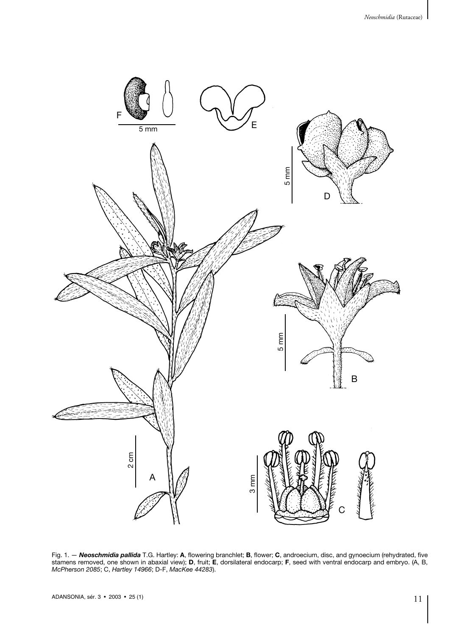

Fig. 1. — *Neoschmidia pallida* T.G. Hartley: **A**, flowering branchlet; **B**, flower; **C**, androecium, disc, and gynoecium (rehydrated, five stamens removed, one shown in abaxial view); **D**, fruit; **E**, dorsilateral endocarp; **F**, seed with ventral endocarp and embryo. (A, B, *McPherson 2085*; C, *Hartley 14966*; D-F, *MacKee 44283*).